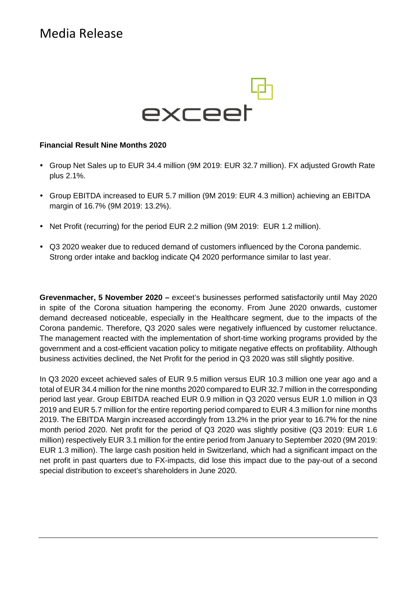# Media Release



### **Financial Result Nine Months 2020**

- Group Net Sales up to EUR 34.4 million (9M 2019: EUR 32.7 million). FX adjusted Growth Rate plus 2.1%.
- Group EBITDA increased to EUR 5.7 million (9M 2019: EUR 4.3 million) achieving an EBITDA margin of 16.7% (9M 2019: 13.2%).
- Net Profit (recurring) for the period EUR 2.2 million (9M 2019: EUR 1.2 million).
- Q3 2020 weaker due to reduced demand of customers influenced by the Corona pandemic. Strong order intake and backlog indicate Q4 2020 performance similar to last year.

**Grevenmacher, 5 November 2020 –** exceet's businesses performed satisfactorily until May 2020 in spite of the Corona situation hampering the economy. From June 2020 onwards, customer demand decreased noticeable, especially in the Healthcare segment, due to the impacts of the Corona pandemic. Therefore, Q3 2020 sales were negatively influenced by customer reluctance. The management reacted with the implementation of short-time working programs provided by the government and a cost-efficient vacation policy to mitigate negative effects on profitability. Although business activities declined, the Net Profit for the period in Q3 2020 was still slightly positive.

In Q3 2020 exceet achieved sales of EUR 9.5 million versus EUR 10.3 million one year ago and a total of EUR 34.4 million for the nine months 2020 compared to EUR 32.7 million in the corresponding period last year. Group EBITDA reached EUR 0.9 million in Q3 2020 versus EUR 1.0 million in Q3 2019 and EUR 5.7 million for the entire reporting period compared to EUR 4.3 million for nine months 2019. The EBITDA Margin increased accordingly from 13.2% in the prior year to 16.7% for the nine month period 2020. Net profit for the period of Q3 2020 was slightly positive (Q3 2019: EUR 1.6 million) respectively EUR 3.1 million for the entire period from January to September 2020 (9M 2019: EUR 1.3 million). The large cash position held in Switzerland, which had a significant impact on the net profit in past quarters due to FX-impacts, did lose this impact due to the pay-out of a second special distribution to exceet's shareholders in June 2020.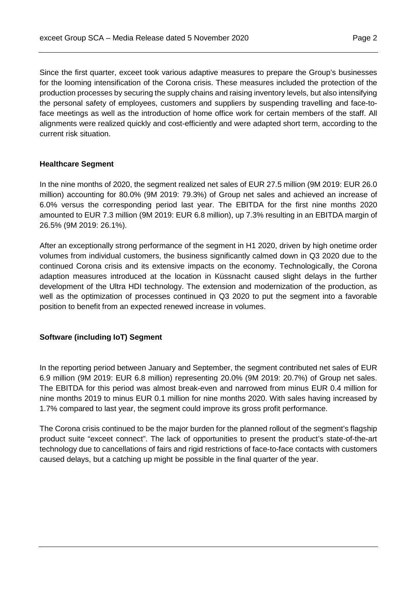Since the first quarter, exceet took various adaptive measures to prepare the Group's businesses for the looming intensification of the Corona crisis. These measures included the protection of the production processes by securing the supply chains and raising inventory levels, but also intensifying the personal safety of employees, customers and suppliers by suspending travelling and face-toface meetings as well as the introduction of home office work for certain members of the staff. All alignments were realized quickly and cost-efficiently and were adapted short term, according to the current risk situation.

### **Healthcare Segment**

In the nine months of 2020, the segment realized net sales of EUR 27.5 million (9M 2019: EUR 26.0 million) accounting for 80.0% (9M 2019: 79.3%) of Group net sales and achieved an increase of 6.0% versus the corresponding period last year. The EBITDA for the first nine months 2020 amounted to EUR 7.3 million (9M 2019: EUR 6.8 million), up 7.3% resulting in an EBITDA margin of 26.5% (9M 2019: 26.1%).

After an exceptionally strong performance of the segment in H1 2020, driven by high onetime order volumes from individual customers, the business significantly calmed down in Q3 2020 due to the continued Corona crisis and its extensive impacts on the economy. Technologically, the Corona adaption measures introduced at the location in Küssnacht caused slight delays in the further development of the Ultra HDI technology. The extension and modernization of the production, as well as the optimization of processes continued in Q3 2020 to put the segment into a favorable position to benefit from an expected renewed increase in volumes.

### **Software (including IoT) Segment**

In the reporting period between January and September, the segment contributed net sales of EUR 6.9 million (9M 2019: EUR 6.8 million) representing 20.0% (9M 2019: 20.7%) of Group net sales. The EBITDA for this period was almost break-even and narrowed from minus EUR 0.4 million for nine months 2019 to minus EUR 0.1 million for nine months 2020. With sales having increased by 1.7% compared to last year, the segment could improve its gross profit performance.

The Corona crisis continued to be the major burden for the planned rollout of the segment's flagship product suite "exceet connect". The lack of opportunities to present the product's state-of-the-art technology due to cancellations of fairs and rigid restrictions of face-to-face contacts with customers caused delays, but a catching up might be possible in the final quarter of the year.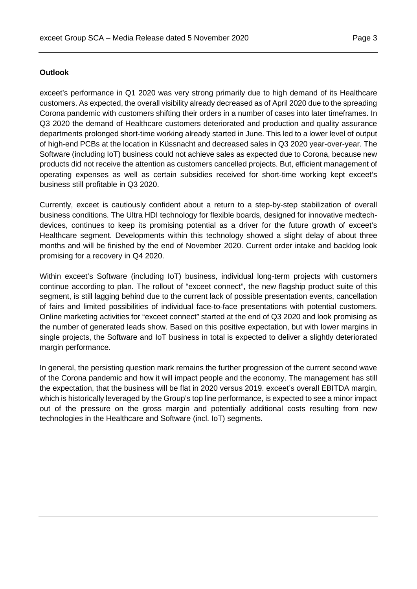## **Outlook**

exceet's performance in Q1 2020 was very strong primarily due to high demand of its Healthcare customers. As expected, the overall visibility already decreased as of April 2020 due to the spreading Corona pandemic with customers shifting their orders in a number of cases into later timeframes. In Q3 2020 the demand of Healthcare customers deteriorated and production and quality assurance departments prolonged short-time working already started in June. This led to a lower level of output of high-end PCBs at the location in Küssnacht and decreased sales in Q3 2020 year-over-year. The Software (including IoT) business could not achieve sales as expected due to Corona, because new products did not receive the attention as customers cancelled projects. But, efficient management of operating expenses as well as certain subsidies received for short-time working kept exceet's business still profitable in Q3 2020.

Currently, exceet is cautiously confident about a return to a step-by-step stabilization of overall business conditions. The Ultra HDI technology for flexible boards, designed for innovative medtechdevices, continues to keep its promising potential as a driver for the future growth of exceet's Healthcare segment. Developments within this technology showed a slight delay of about three months and will be finished by the end of November 2020. Current order intake and backlog look promising for a recovery in Q4 2020.

Within exceet's Software (including IoT) business, individual long-term projects with customers continue according to plan. The rollout of "exceet connect", the new flagship product suite of this segment, is still lagging behind due to the current lack of possible presentation events, cancellation of fairs and limited possibilities of individual face-to-face presentations with potential customers. Online marketing activities for "exceet connect" started at the end of Q3 2020 and look promising as the number of generated leads show. Based on this positive expectation, but with lower margins in single projects, the Software and IoT business in total is expected to deliver a slightly deteriorated margin performance.

In general, the persisting question mark remains the further progression of the current second wave of the Corona pandemic and how it will impact people and the economy. The management has still the expectation, that the business will be flat in 2020 versus 2019. exceet's overall EBITDA margin, which is historically leveraged by the Group's top line performance, is expected to see a minor impact out of the pressure on the gross margin and potentially additional costs resulting from new technologies in the Healthcare and Software (incl. IoT) segments.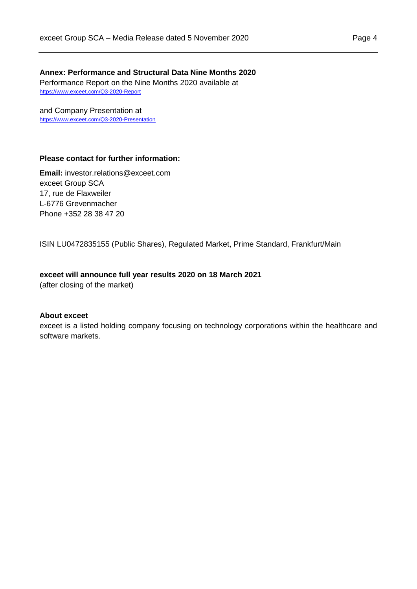**Annex: Performance and Structural Data Nine Months 2020** Performance Report on the Nine Months 2020 available at

and Company Presentation at <https://www.exceet.com/Q3-2020-Presentation>

<https://www.exceet.com/Q3-2020-Report>

# **Please contact for further information:**

**Email:** investor.relations@exceet.com exceet Group SCA 17, rue de Flaxweiler L-6776 Grevenmacher Phone +352 28 38 47 20

ISIN LU0472835155 (Public Shares), Regulated Market, Prime Standard, Frankfurt/Main

#### **exceet will announce full year results 2020 on 18 March 2021**

(after closing of the market)

#### **About exceet**

exceet is a listed holding company focusing on technology corporations within the healthcare and software markets.